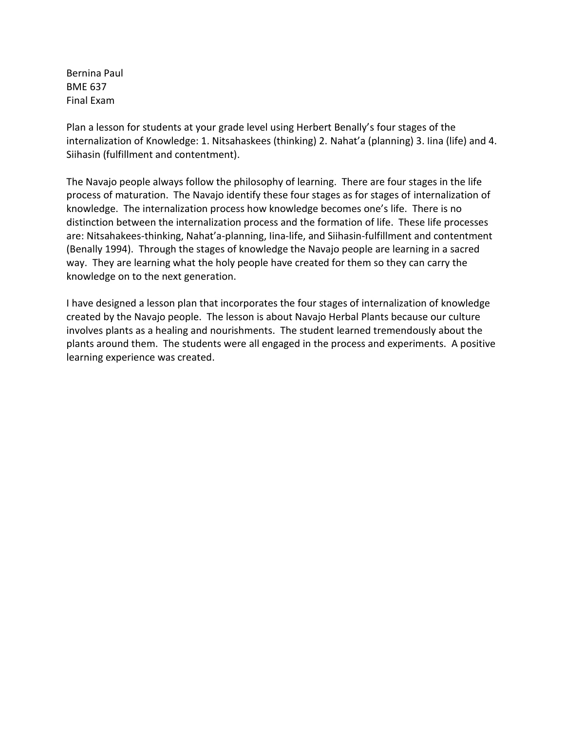Bernina Paul BME 637 Final Exam

Plan a lesson for students at your grade level using Herbert Benally's four stages of the internalization of Knowledge: 1. Nitsahaskees (thinking) 2. Nahat'a (planning) 3. Iina (life) and 4. Siihasin (fulfillment and contentment).

The Navajo people always follow the philosophy of learning. There are four stages in the life process of maturation. The Navajo identify these four stages as for stages of internalization of knowledge. The internalization process how knowledge becomes one's life. There is no distinction between the internalization process and the formation of life. These life processes are: Nitsahakees-thinking, Nahat'a-planning, Iina-life, and Siihasin-fulfillment and contentment (Benally 1994). Through the stages of knowledge the Navajo people are learning in a sacred way. They are learning what the holy people have created for them so they can carry the knowledge on to the next generation.

I have designed a lesson plan that incorporates the four stages of internalization of knowledge created by the Navajo people. The lesson is about Navajo Herbal Plants because our culture involves plants as a healing and nourishments. The student learned tremendously about the plants around them. The students were all engaged in the process and experiments. A positive learning experience was created.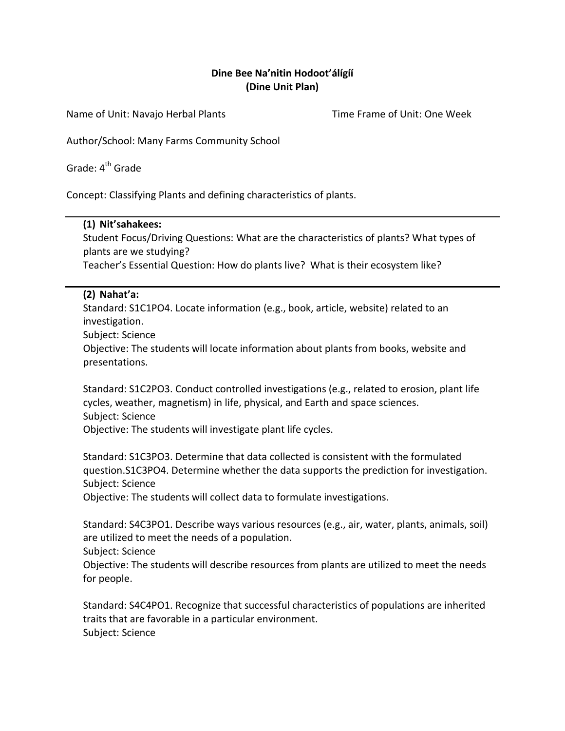#### **Dine Bee Na'nitin Hodoot'álígíí (Dine Unit Plan)**

Name of Unit: Navajo Herbal Plants Time Frame of Unit: One Week

Author/School: Many Farms Community School

Grade:  $4^{th}$  Grade

Concept: Classifying Plants and defining characteristics of plants.

#### **(1) Nit'sahakees:**

Student Focus/Driving Questions: What are the characteristics of plants? What types of plants are we studying?

Teacher's Essential Question: How do plants live? What is their ecosystem like?

#### **(2) Nahat'a:**

Standard: S1C1PO4. Locate information (e.g., book, article, website) related to an investigation.

Subject: Science

Objective: The students will locate information about plants from books, website and presentations.

Standard: S1C2PO3. Conduct controlled investigations (e.g., related to erosion, plant life cycles, weather, magnetism) in life, physical, and Earth and space sciences. Subject: Science Objective: The students will investigate plant life cycles.

Standard: S1C3PO3. Determine that data collected is consistent with the formulated question.S1C3PO4. Determine whether the data supports the prediction for investigation. Subject: Science

Objective: The students will collect data to formulate investigations.

Standard: S4C3PO1. Describe ways various resources (e.g., air, water, plants, animals, soil) are utilized to meet the needs of a population.

Subject: Science

Objective: The students will describe resources from plants are utilized to meet the needs for people.

Standard: S4C4PO1. Recognize that successful characteristics of populations are inherited traits that are favorable in a particular environment. Subject: Science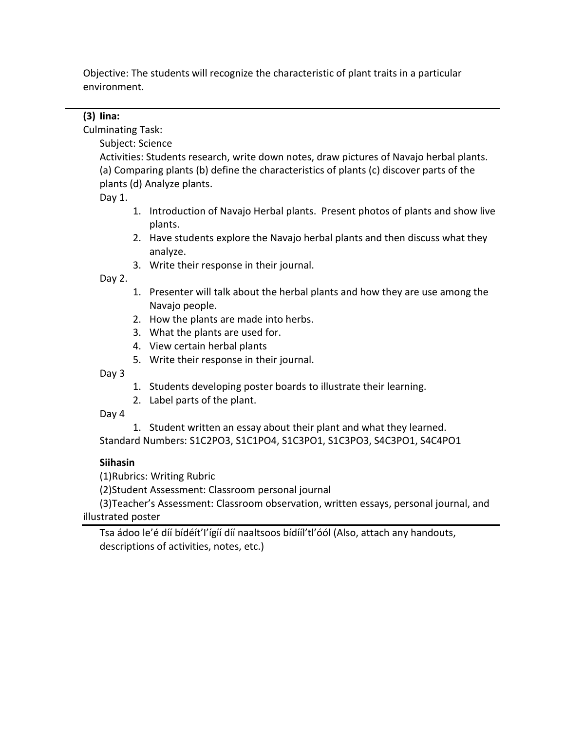Objective: The students will recognize the characteristic of plant traits in a particular environment.

#### **(3) Iina:**

Culminating Task:

Subject: Science

Activities: Students research, write down notes, draw pictures of Navajo herbal plants. (a) Comparing plants (b) define the characteristics of plants (c) discover parts of the plants (d) Analyze plants.

Day 1.

- 1. Introduction of Navajo Herbal plants. Present photos of plants and show live plants.
- 2. Have students explore the Navajo herbal plants and then discuss what they analyze.
- 3. Write their response in their journal.

Day 2.

- 1. Presenter will talk about the herbal plants and how they are use among the Navajo people.
- 2. How the plants are made into herbs.
- 3. What the plants are used for.
- 4. View certain herbal plants
- 5. Write their response in their journal.

Day 3

- 1. Students developing poster boards to illustrate their learning.
- 2. Label parts of the plant.

Day 4

1. Student written an essay about their plant and what they learned.

Standard Numbers: S1C2PO3, S1C1PO4, S1C3PO1, S1C3PO3, S4C3PO1, S4C4PO1

#### **Siihasin**

(1)Rubrics: Writing Rubric

(2)Student Assessment: Classroom personal journal

(3)Teacher's Assessment: Classroom observation, written essays, personal journal, and illustrated poster

Tsa ádoo le'é díí bídéít'I'ígíí díí naaltsoos bídííl'tl'óól (Also, attach any handouts, descriptions of activities, notes, etc.)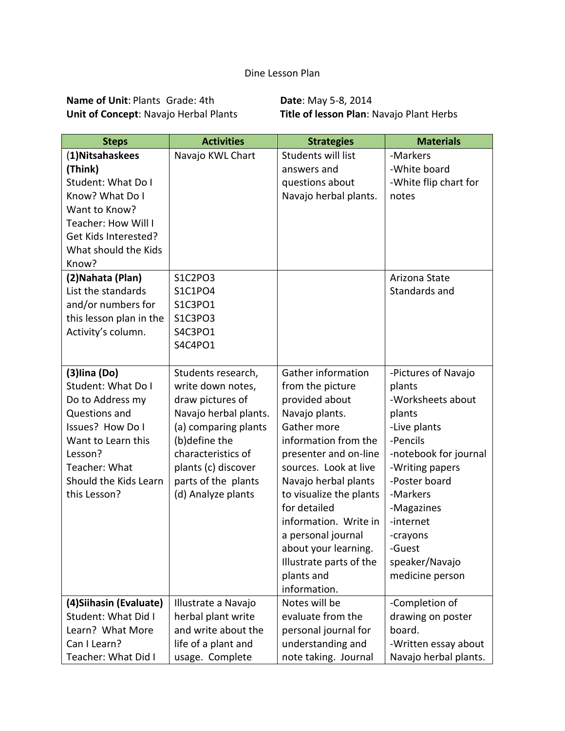## Dine Lesson Plan

**Name of Unit**: Plants Grade: 4th **Date**: May 5-8, 2014<br>
Unit of Concept: Navajo Herbal Plants **Title of lesson Plan**: N

**Title of lesson Plan**: Navajo Plant Herbs

| <b>Steps</b>                                                                                                                                                                                | <b>Activities</b>                                                                                                                                                                                                       | <b>Strategies</b>                                                                                                                                                                                                                                                                                                                                                             | <b>Materials</b>                                                                                                                                                                                                                                        |  |
|---------------------------------------------------------------------------------------------------------------------------------------------------------------------------------------------|-------------------------------------------------------------------------------------------------------------------------------------------------------------------------------------------------------------------------|-------------------------------------------------------------------------------------------------------------------------------------------------------------------------------------------------------------------------------------------------------------------------------------------------------------------------------------------------------------------------------|---------------------------------------------------------------------------------------------------------------------------------------------------------------------------------------------------------------------------------------------------------|--|
| (1) Nitsahaskees<br>(Think)<br>Student: What Do I<br>Know? What Do I<br>Want to Know?<br>Teacher: How Will I<br>Get Kids Interested?<br>What should the Kids<br>Know?                       | Navajo KWL Chart                                                                                                                                                                                                        | Students will list<br>answers and<br>questions about<br>Navajo herbal plants.                                                                                                                                                                                                                                                                                                 | -Markers<br>-White board<br>-White flip chart for<br>notes                                                                                                                                                                                              |  |
| (2) Nahata (Plan)<br>List the standards<br>and/or numbers for<br>this lesson plan in the<br>Activity's column.                                                                              | S1C2PO3<br>S1C1PO4<br>S1C3PO1<br>S1C3PO3<br>S4C3PO1<br>S4C4PO1                                                                                                                                                          |                                                                                                                                                                                                                                                                                                                                                                               | Arizona State<br>Standards and                                                                                                                                                                                                                          |  |
| $(3)$ lina $(Do)$<br>Student: What Do I<br>Do to Address my<br>Questions and<br>Issues? How Do I<br>Want to Learn this<br>Lesson?<br>Teacher: What<br>Should the Kids Learn<br>this Lesson? | Students research,<br>write down notes,<br>draw pictures of<br>Navajo herbal plants.<br>(a) comparing plants<br>(b)define the<br>characteristics of<br>plants (c) discover<br>parts of the plants<br>(d) Analyze plants | <b>Gather information</b><br>from the picture<br>provided about<br>Navajo plants.<br>Gather more<br>information from the<br>presenter and on-line<br>sources. Look at live<br>Navajo herbal plants<br>to visualize the plants<br>for detailed<br>information. Write in<br>a personal journal<br>about your learning.<br>Illustrate parts of the<br>plants and<br>information. | -Pictures of Navajo<br>plants<br>-Worksheets about<br>plants<br>-Live plants<br>-Pencils<br>-notebook for journal<br>-Writing papers<br>-Poster board<br>-Markers<br>-Magazines<br>-internet<br>-crayons<br>-Guest<br>speaker/Navajo<br>medicine person |  |
| (4) Siihasin (Evaluate)<br>Student: What Did I<br>Learn? What More<br>Can I Learn?<br>Teacher: What Did I                                                                                   | Illustrate a Navajo<br>herbal plant write<br>and write about the<br>life of a plant and<br>usage. Complete                                                                                                              | Notes will be<br>evaluate from the<br>personal journal for<br>understanding and<br>note taking. Journal                                                                                                                                                                                                                                                                       | -Completion of<br>drawing on poster<br>board.<br>-Written essay about<br>Navajo herbal plants.                                                                                                                                                          |  |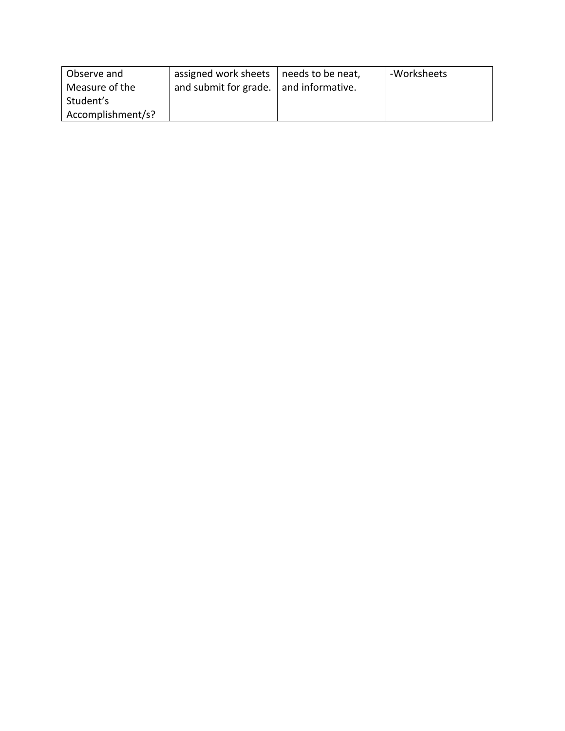| Observe and       | assigned work sheets   needs to be neat, | -Worksheets |
|-------------------|------------------------------------------|-------------|
| Measure of the    | and submit for grade.   and informative. |             |
| Student's         |                                          |             |
| Accomplishment/s? |                                          |             |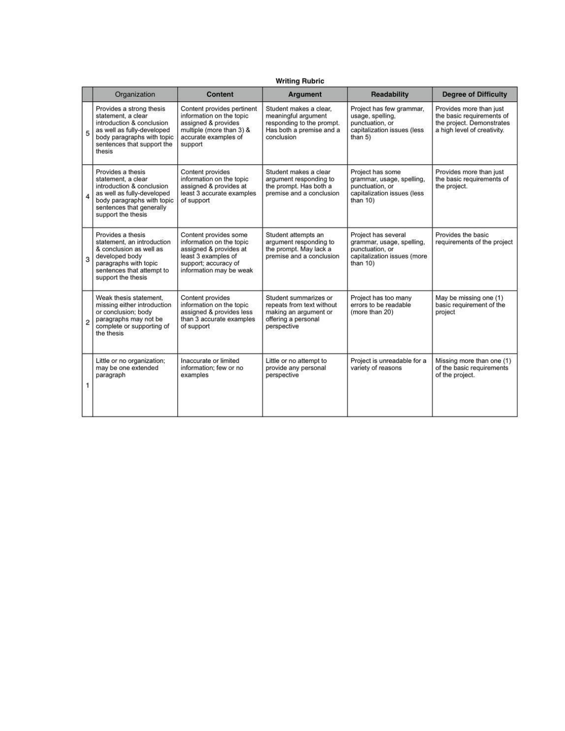|                         | <b>Writing Rubric</b>                                                                                                                                                              |                                                                                                                                                       |                                                                                                                      |                                                                                                                   |                                                                                                                  |  |
|-------------------------|------------------------------------------------------------------------------------------------------------------------------------------------------------------------------------|-------------------------------------------------------------------------------------------------------------------------------------------------------|----------------------------------------------------------------------------------------------------------------------|-------------------------------------------------------------------------------------------------------------------|------------------------------------------------------------------------------------------------------------------|--|
|                         | Organization                                                                                                                                                                       | <b>Content</b>                                                                                                                                        | <b>Argument</b>                                                                                                      | <b>Readability</b>                                                                                                | <b>Degree of Difficulty</b>                                                                                      |  |
| 5                       | Provides a strong thesis<br>statement, a clear<br>introduction & conclusion<br>as well as fully-developed<br>body paragraphs with topic<br>sentences that support the<br>thesis    | Content provides pertinent<br>information on the topic<br>assigned & provides<br>multiple (more than 3) &<br>accurate examples of<br>support          | Student makes a clear,<br>meaningful argument<br>responding to the prompt.<br>Has both a premise and a<br>conclusion | Project has few grammar,<br>usage, spelling,<br>punctuation, or<br>capitalization issues (less<br>than $5)$       | Provides more than just<br>the basic requirements of<br>the project. Demonstrates<br>a high level of creativity. |  |
| 4                       | Provides a thesis<br>statement, a clear<br>introduction & conclusion<br>as well as fully-developed<br>body paragraphs with topic<br>sentences that generally<br>support the thesis | Content provides<br>information on the topic<br>assigned & provides at<br>least 3 accurate examples<br>of support                                     | Student makes a clear<br>argument responding to<br>the prompt. Has both a<br>premise and a conclusion                | Project has some<br>grammar, usage, spelling,<br>punctuation, or<br>capitalization issues (less<br>than $10$ )    | Provides more than just<br>the basic requirements of<br>the project.                                             |  |
| 3                       | Provides a thesis<br>statement, an introduction<br>& conclusion as well as<br>developed body<br>paragraphs with topic<br>sentences that attempt to<br>support the thesis           | Content provides some<br>information on the topic<br>assigned & provides at<br>least 3 examples of<br>support; accuracy of<br>information may be weak | Student attempts an<br>argument responding to<br>the prompt. May lack a<br>premise and a conclusion                  | Project has several<br>grammar, usage, spelling,<br>punctuation, or<br>capitalization issues (more<br>than $10$ ) | Provides the basic<br>requirements of the project                                                                |  |
| $\overline{\mathbf{c}}$ | Weak thesis statement.<br>missing either introduction<br>or conclusion; body<br>paragraphs may not be<br>complete or supporting of<br>the thesis                                   | Content provides<br>information on the topic<br>assigned & provides less<br>than 3 accurate examples<br>of support                                    | Student summarizes or<br>repeats from text without<br>making an argument or<br>offering a personal<br>perspective    | Project has too many<br>errors to be readable<br>(more than 20)                                                   | May be missing one (1)<br>basic requirement of the<br>project                                                    |  |
| 1                       | Little or no organization;<br>may be one extended<br>paragraph                                                                                                                     | Inaccurate or limited<br>information; few or no<br>examples                                                                                           | Little or no attempt to<br>provide any personal<br>perspective                                                       | Project is unreadable for a<br>variety of reasons                                                                 | Missing more than one (1)<br>of the basic requirements<br>of the project.                                        |  |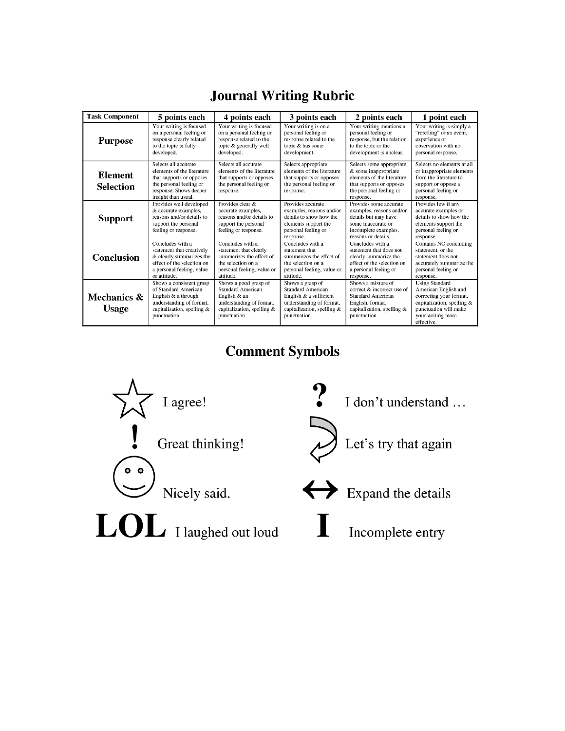| <b>Journal Writing Rubric</b> |  |
|-------------------------------|--|
|                               |  |

| <b>Task Component</b>       | 5 points each                                                                                                                                              | 4 points each                                                                                                                               | 3 points each                                                                                                                                    | 2 points each                                                                                                                                      | 1 point each                                                                                                                                                       |
|-----------------------------|------------------------------------------------------------------------------------------------------------------------------------------------------------|---------------------------------------------------------------------------------------------------------------------------------------------|--------------------------------------------------------------------------------------------------------------------------------------------------|----------------------------------------------------------------------------------------------------------------------------------------------------|--------------------------------------------------------------------------------------------------------------------------------------------------------------------|
| <b>Purpose</b>              | Your writing is focused<br>on a personal feeling or<br>response clearly related<br>to the topic & fully<br>developed.                                      | Your writing is focused<br>on a personal feeling or<br>response related to the<br>topic & generally well<br>developed.                      | Your writing is on a<br>personal feeling or<br>response related to the<br>topic & has some<br>development.                                       | Your writing mentions a<br>personal feeling or<br>response, but the relation<br>to the topic or the<br>development is unclear.                     | Your writing is simply a<br>"retelling" of an event,<br>experience or<br>observation with no<br>personal response.                                                 |
| Element<br><b>Selection</b> | Selects all accurate<br>elements of the literature<br>that supports or opposes<br>the personal feeling or<br>response. Shows deeper<br>insight than usual. | Selects all accurate<br>elements of the literature<br>that supports or opposes<br>the personal feeling or<br>response.                      | Selects appropriate<br>elements of the literature<br>that supports or opposes<br>the personal feeling or<br>response.                            | Selects some appropriate<br>& some inappropriate<br>elements of the literature<br>that supports or opposes<br>the personal feeling or<br>response. | Selects no elements at all<br>or inappropriate elements<br>from the literature to<br>support or oppose a<br>personal feeling or<br>response.                       |
| Support                     | Provides well developed<br>& accurate examples,<br>reasons and/or details to<br>support the personal<br>feeling or response.                               | Provides clear &<br>accurate examples,<br>reasons and/or details to<br>support the personal<br>feeling or response.                         | Provides accurate<br>examples, reasons and/or<br>details to show how the<br>elements support the<br>personal feeling or<br>response.             | Provides some accurate<br>examples, reasons and/or<br>details but may have<br>some inaccurate or<br>incomplete examples,<br>reasons or details.    | Provides few if any<br>accurate examples or<br>details to show how the<br>elements support the<br>personal feeling or<br>response.                                 |
| Conclusion                  | Concludes with a<br>statement that creatively<br>& clearly summarizes the<br>effect of the selection on<br>a personal feeling, value<br>or attitude.       | Concludes with a<br>statement that clearly<br>summarizes the effect of<br>the selection on a<br>personal feeling, value or<br>attitude.     | Concludes with a<br>statement that<br>summarizes the effect of<br>the selection on a<br>personal feeling, value or<br>attitude.                  | Concludes with a<br>statement that does not<br>clearly summarize the<br>effect of the selection on<br>a personal feeling or<br>response.           | Contains NO concluding<br>statement, or the<br>statement does not<br>accurately summarize the<br>personal feeling or<br>response.                                  |
| Mechanics &<br><b>Usage</b> | Shows a consistent grasp<br>of Standard American<br>English & a through<br>understanding of format,<br>capitalization, spelling &<br>punctuation.          | Shows a good grasp of<br><b>Standard American</b><br>English & an<br>understanding of format,<br>capitalization, spelling &<br>punctuation. | Shows a grasp of<br><b>Standard American</b><br>English & a sufficient<br>understanding of format,<br>capitalization, spelling &<br>punctuation. | Shows a mixture of<br>correct & incorrect use of<br>Standard American<br>English, format,<br>capitalization, spelling &<br>punctuation.            | <b>Using Standard</b><br>American English and<br>correcting your format,<br>capitalization, spelling &<br>punctuation will make<br>your writing more<br>effective. |

**Comment Symbols** 

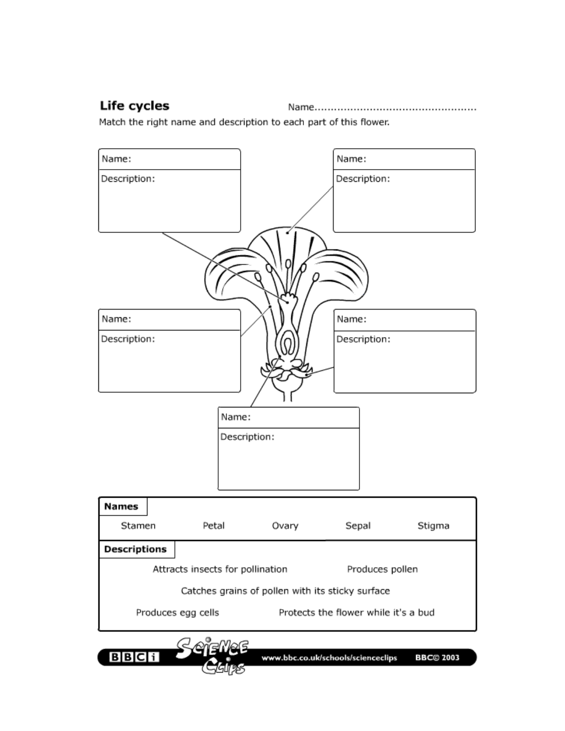## Life cycles

Match the right name and description to each part of this flower.

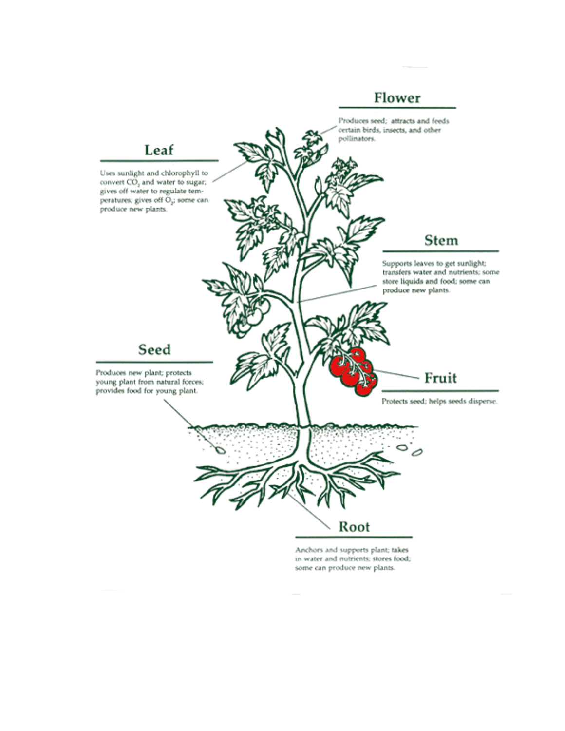## Flower



some can produce new plants.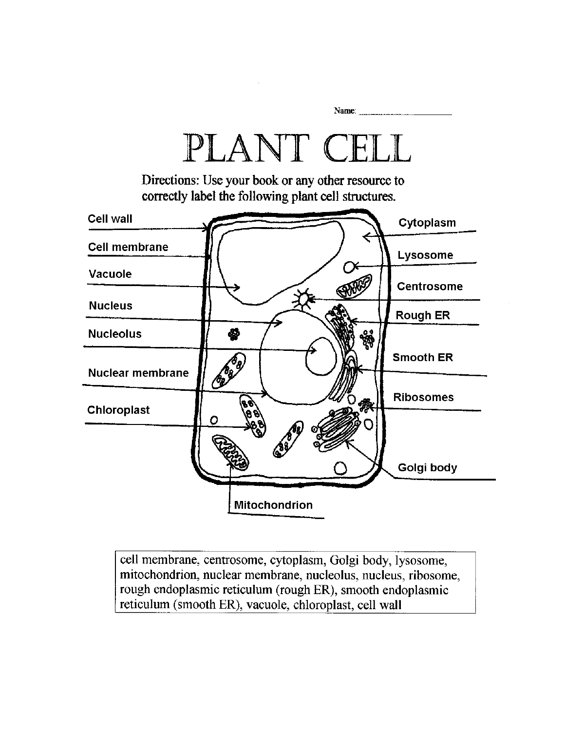

cell membrane, centrosome, cytoplasm, Golgi body, lysosome, mitochondrion, nuclear membrane, nucleolus, nucleus, ribosome, rough endoplasmic reticulum (rough ER), smooth endoplasmic reticulum (smooth ER), vacuole, chloroplast, cell wall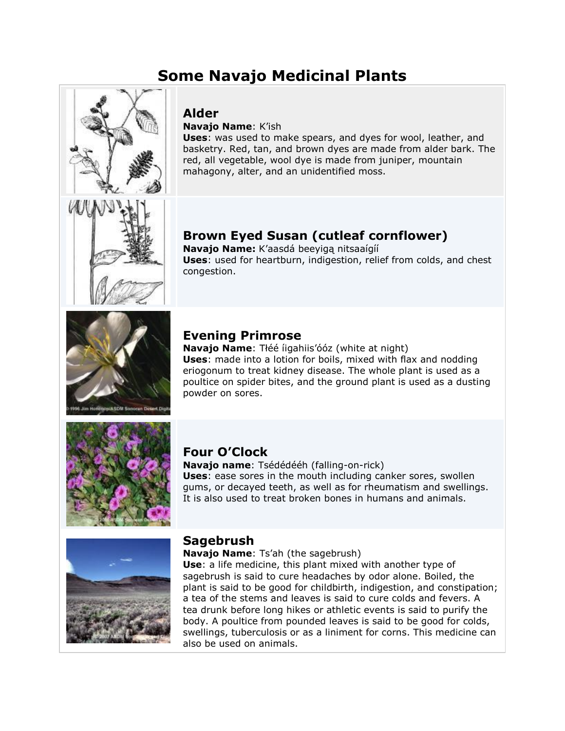# **Some Navajo Medicinal Plants**



## **Alder**

**Navajo Name**: K'ish

**Uses**: was used to make spears, and dyes for wool, leather, and basketry. Red, tan, and brown dyes are made from alder bark. The red, all vegetable, wool dye is made from juniper, mountain mahagony, alter, and an unidentified moss.

# **Brown Eyed Susan (cutleaf cornflower)**

**Navajo Name:** K'aasdá beeyigą nitsaaígíí **Uses**: used for heartburn, indigestion, relief from colds, and chest congestion.

## **Evening Primrose**

**Navajo Name**: Tłéé íigahiis'óóz (white at night) **Uses**: made into a lotion for boils, mixed with flax and nodding eriogonum to treat kidney disease. The whole plant is used as a poultice on spider bites, and the ground plant is used as a dusting powder on sores.



## **Four O'Clock**

**Navajo name**: Tsédédééh (falling-on-rick)

**Uses**: ease sores in the mouth including canker sores, swollen gums, or decayed teeth, as well as for rheumatism and swellings. It is also used to treat broken bones in humans and animals.



## **Sagebrush**

#### **Navajo Name**: Ts'ah (the sagebrush)

**Use**: a life medicine, this plant mixed with another type of sagebrush is said to cure headaches by odor alone. Boiled, the plant is said to be good for childbirth, indigestion, and constipation; a tea of the stems and leaves is said to cure colds and fevers. A tea drunk before long hikes or athletic events is said to purify the body. A poultice from pounded leaves is said to be good for colds, swellings, tuberculosis or as a liniment for corns. This medicine can also be used on animals.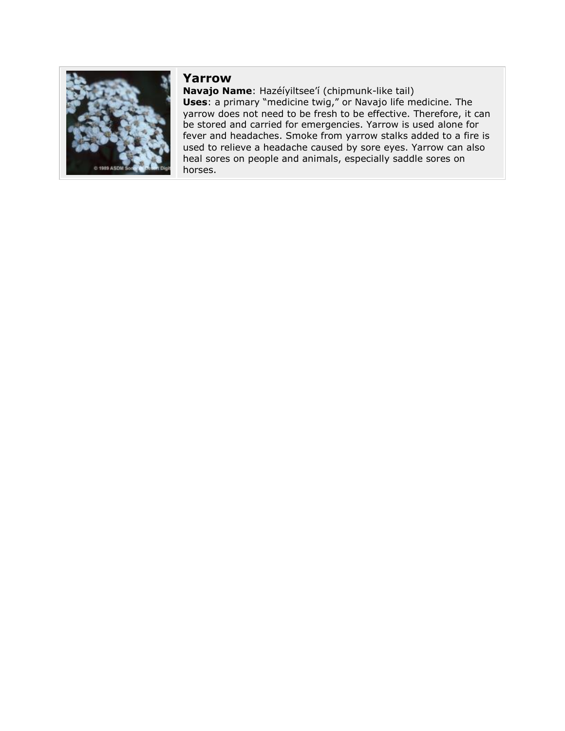

### **Yarrow**

**Navajo Name**: Hazéíyiltsee'í (chipmunk-like tail) **Uses**: a primary "medicine twig," or Navajo life medicine. The yarrow does not need to be fresh to be effective. Therefore, it can be stored and carried for emergencies. Yarrow is used alone for fever and headaches. Smoke from yarrow stalks added to a fire is used to relieve a headache caused by sore eyes. Yarrow can also heal sores on people and animals, especially saddle sores on horses.